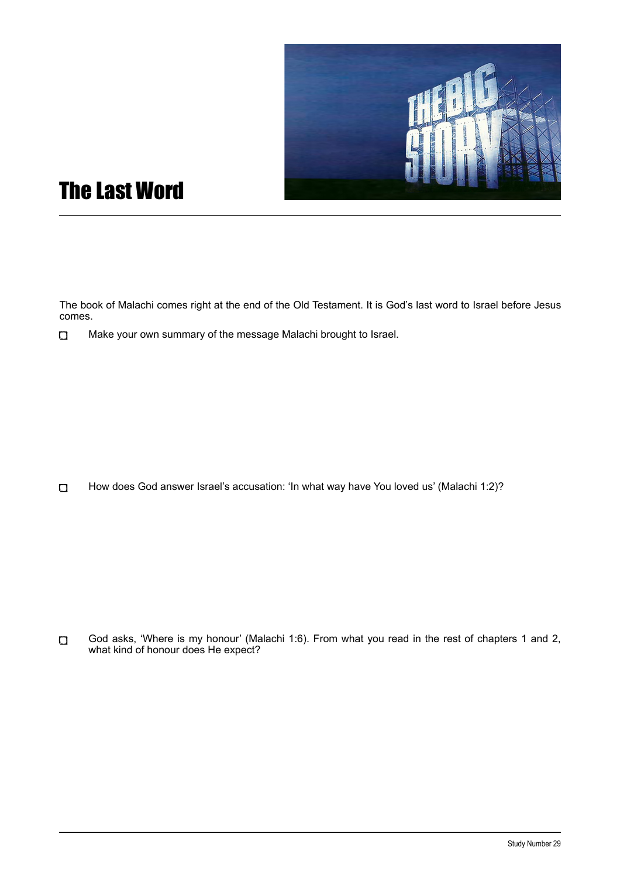

## The Last Word

The book of Malachi comes right at the end of the Old Testament. It is God's last word to Israel before Jesus comes.

Make your own summary of the message Malachi brought to Israel.  $\Box$ 

 $\Box$ How does God answer Israel's accusation: 'In what way have You loved us' (Malachi 1:2)?

 $\Box$ God asks, 'Where is my honour' (Malachi 1:6). From what you read in the rest of chapters 1 and 2, what kind of honour does He expect?